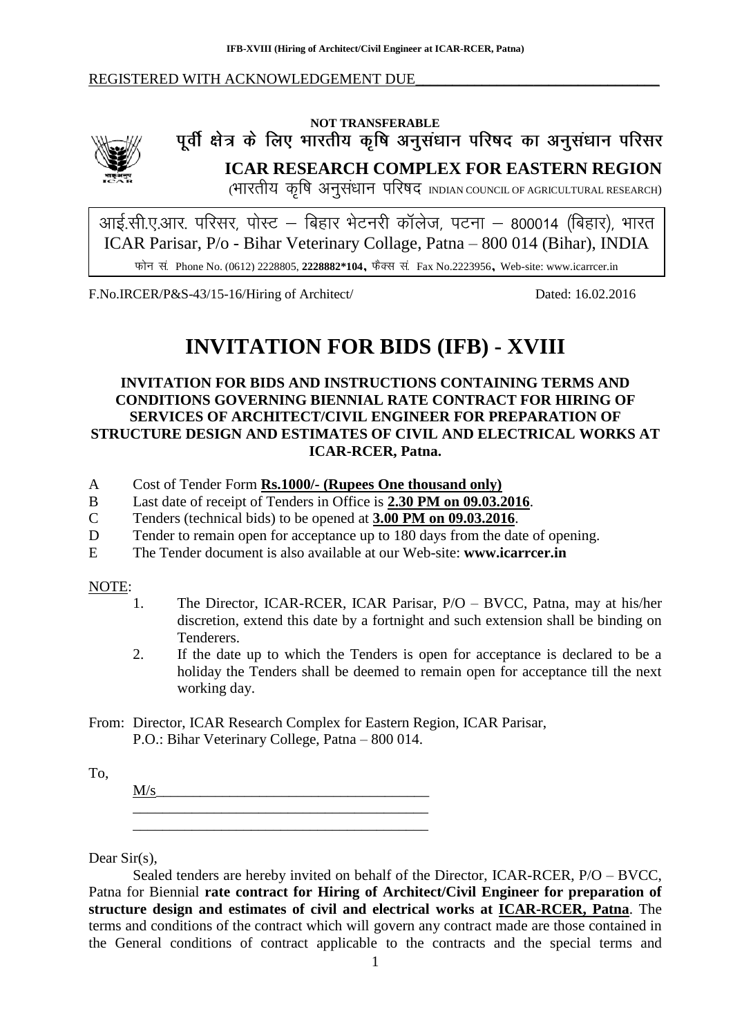#### REGISTERED WITH ACKNOWLEDGEMENT DUE



# NOT TRANSFERABLE<br>पूर्वी क्षेत्र के लिए भारतीय कृषि अनुसंधान परिषद का अनुसंधान परिसर **ICAR RESEARCH COMPLEX FOR EASTERN REGION**

(भारतीय कृषि अनुसंधान परिषद INDIAN COUNCIL OF AGRICULTURAL RESEARCH)

ICAR Parisar, P/o - Bihar Veterinary Collage, Patna – 800 014 (Bihar), INDIA Phone No. (0612) 2228805, **2228882\*104**, Fax No.2223956, Web-site: www.icarrcer.in

F.No.IRCER/P&S-43/15-16/Hiring of Architect/ Dated: 16.02.2016

# **INVITATION FOR BIDS (IFB) - XVIII**

## **INVITATION FOR BIDS AND INSTRUCTIONS CONTAINING TERMS AND CONDITIONS GOVERNING BIENNIAL RATE CONTRACT FOR HIRING OF SERVICES OF ARCHITECT/CIVIL ENGINEER FOR PREPARATION OF STRUCTURE DESIGN AND ESTIMATES OF CIVIL AND ELECTRICAL WORKS AT ICAR-RCER, Patna.**

- A Cost of Tender Form **Rs.1000/- (Rupees One thousand only)**
- B Last date of receipt of Tenders in Office is **2.30 PM on 09.03.2016**.
- C Tenders (technical bids) to be opened at **3.00 PM on 09.03.2016**.
- D Tender to remain open for acceptance up to 180 days from the date of opening.
- E The Tender document is also available at our Web-site: **www.icarrcer.in**

#### NOTE:

- 1. The Director, ICAR-RCER, ICAR Parisar, P/O BVCC, Patna, may at his/her discretion, extend this date by a fortnight and such extension shall be binding on Tenderers.
- 2. If the date up to which the Tenders is open for acceptance is declared to be a holiday the Tenders shall be deemed to remain open for acceptance till the next working day.
- From: Director, ICAR Research Complex for Eastern Region, ICAR Parisar, P.O.: Bihar Veterinary College, Patna – 800 014.

To,

 $M/s$ \_\_\_\_\_\_\_\_\_\_\_\_\_\_\_\_\_\_\_\_\_\_\_\_\_\_\_\_\_\_\_\_\_\_\_\_\_\_\_\_ \_\_\_\_\_\_\_\_\_\_\_\_\_\_\_\_\_\_\_\_\_\_\_\_\_\_\_\_\_\_\_\_\_\_\_\_\_\_\_\_

Dear Sir(s),

Sealed tenders are hereby invited on behalf of the Director, ICAR-RCER, P/O – BVCC, Patna for Biennial **rate contract for Hiring of Architect/Civil Engineer for preparation of structure design and estimates of civil and electrical works at ICAR-RCER, Patna**. The terms and conditions of the contract which will govern any contract made are those contained in the General conditions of contract applicable to the contracts and the special terms and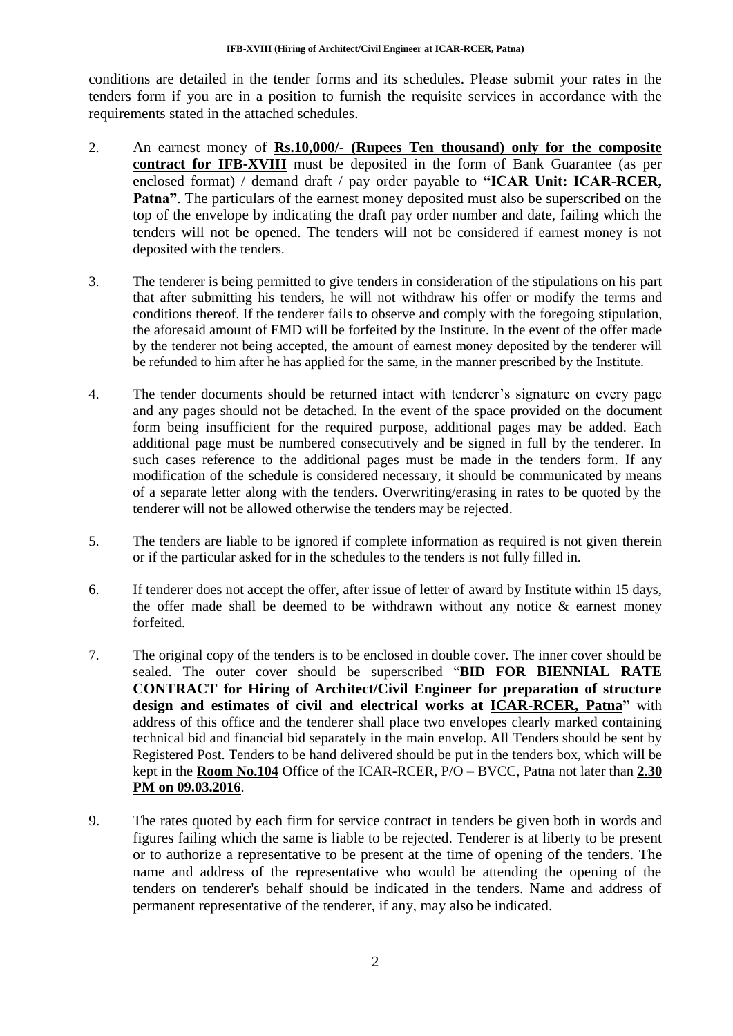conditions are detailed in the tender forms and its schedules. Please submit your rates in the tenders form if you are in a position to furnish the requisite services in accordance with the requirements stated in the attached schedules.

- 2. An earnest money of **Rs.10,000/- (Rupees Ten thousand) only for the composite contract for IFB-XVIII** must be deposited in the form of Bank Guarantee (as per enclosed format) / demand draft / pay order payable to **"ICAR Unit: ICAR-RCER, Patna"**. The particulars of the earnest money deposited must also be superscribed on the top of the envelope by indicating the draft pay order number and date, failing which the tenders will not be opened. The tenders will not be considered if earnest money is not deposited with the tenders.
- 3. The tenderer is being permitted to give tenders in consideration of the stipulations on his part that after submitting his tenders, he will not withdraw his offer or modify the terms and conditions thereof. If the tenderer fails to observe and comply with the foregoing stipulation, the aforesaid amount of EMD will be forfeited by the Institute. In the event of the offer made by the tenderer not being accepted, the amount of earnest money deposited by the tenderer will be refunded to him after he has applied for the same, in the manner prescribed by the Institute.
- 4. The tender documents should be returned intact with tenderer"s signature on every page and any pages should not be detached. In the event of the space provided on the document form being insufficient for the required purpose, additional pages may be added. Each additional page must be numbered consecutively and be signed in full by the tenderer. In such cases reference to the additional pages must be made in the tenders form. If any modification of the schedule is considered necessary, it should be communicated by means of a separate letter along with the tenders. Overwriting/erasing in rates to be quoted by the tenderer will not be allowed otherwise the tenders may be rejected.
- 5. The tenders are liable to be ignored if complete information as required is not given therein or if the particular asked for in the schedules to the tenders is not fully filled in.
- 6. If tenderer does not accept the offer, after issue of letter of award by Institute within 15 days, the offer made shall be deemed to be withdrawn without any notice  $\&$  earnest money forfeited.
- 7. The original copy of the tenders is to be enclosed in double cover. The inner cover should be sealed. The outer cover should be superscribed "**BID FOR BIENNIAL RATE CONTRACT for Hiring of Architect/Civil Engineer for preparation of structure design and estimates of civil and electrical works at ICAR-RCER, Patna"** with address of this office and the tenderer shall place two envelopes clearly marked containing technical bid and financial bid separately in the main envelop. All Tenders should be sent by Registered Post. Tenders to be hand delivered should be put in the tenders box, which will be kept in the **Room No.104** Office of the ICAR-RCER, P/O – BVCC, Patna not later than **2.30 PM on 09.03.2016**.
- 9. The rates quoted by each firm for service contract in tenders be given both in words and figures failing which the same is liable to be rejected. Tenderer is at liberty to be present or to authorize a representative to be present at the time of opening of the tenders. The name and address of the representative who would be attending the opening of the tenders on tenderer's behalf should be indicated in the tenders. Name and address of permanent representative of the tenderer, if any, may also be indicated.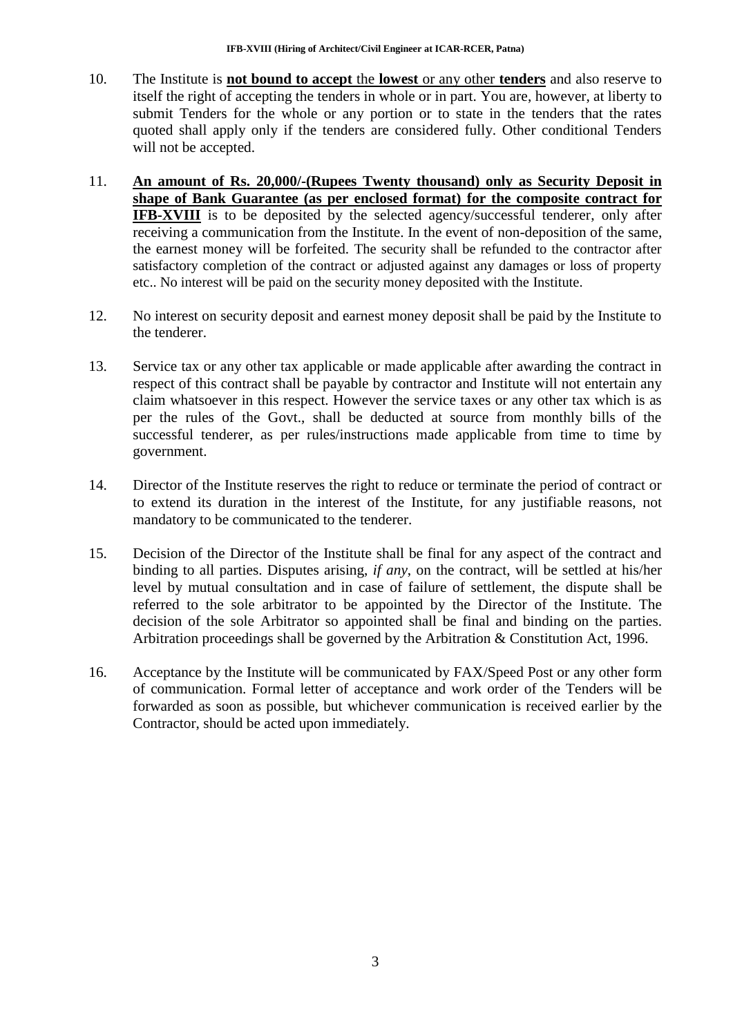- 10. The Institute is **not bound to accept** the **lowest** or any other **tenders** and also reserve to itself the right of accepting the tenders in whole or in part. You are, however, at liberty to submit Tenders for the whole or any portion or to state in the tenders that the rates quoted shall apply only if the tenders are considered fully. Other conditional Tenders will not be accepted.
- 11. **An amount of Rs. 20,000/-(Rupees Twenty thousand) only as Security Deposit in shape of Bank Guarantee (as per enclosed format) for the composite contract for IFB-XVIII** is to be deposited by the selected agency/successful tenderer, only after receiving a communication from the Institute. In the event of non-deposition of the same, the earnest money will be forfeited. The security shall be refunded to the contractor after satisfactory completion of the contract or adjusted against any damages or loss of property etc.. No interest will be paid on the security money deposited with the Institute.
- 12. No interest on security deposit and earnest money deposit shall be paid by the Institute to the tenderer.
- 13. Service tax or any other tax applicable or made applicable after awarding the contract in respect of this contract shall be payable by contractor and Institute will not entertain any claim whatsoever in this respect. However the service taxes or any other tax which is as per the rules of the Govt., shall be deducted at source from monthly bills of the successful tenderer, as per rules/instructions made applicable from time to time by government.
- 14. Director of the Institute reserves the right to reduce or terminate the period of contract or to extend its duration in the interest of the Institute, for any justifiable reasons, not mandatory to be communicated to the tenderer.
- 15. Decision of the Director of the Institute shall be final for any aspect of the contract and binding to all parties. Disputes arising, *if any*, on the contract, will be settled at his/her level by mutual consultation and in case of failure of settlement, the dispute shall be referred to the sole arbitrator to be appointed by the Director of the Institute. The decision of the sole Arbitrator so appointed shall be final and binding on the parties. Arbitration proceedings shall be governed by the Arbitration & Constitution Act, 1996.
- 16. Acceptance by the Institute will be communicated by FAX/Speed Post or any other form of communication. Formal letter of acceptance and work order of the Tenders will be forwarded as soon as possible, but whichever communication is received earlier by the Contractor, should be acted upon immediately.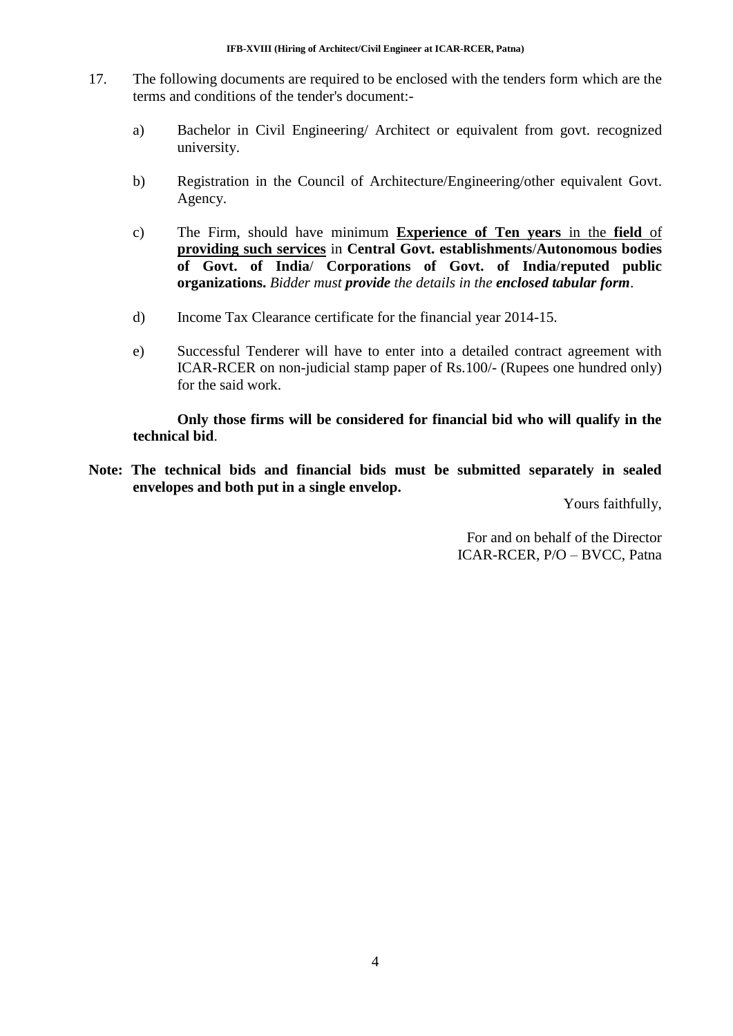- 17. The following documents are required to be enclosed with the tenders form which are the terms and conditions of the tender's document:
	- a) Bachelor in Civil Engineering/ Architect or equivalent from govt. recognized university.
	- b) Registration in the Council of Architecture/Engineering/other equivalent Govt. Agency.
	- c) The Firm, should have minimum **Experience of Ten years** in the **field** of **providing such services** in **Central Govt. establishments**/**Autonomous bodies of Govt. of India**/ **Corporations of Govt. of India**/**reputed public organizations.** *Bidder must provide the details in the enclosed tabular form*.
	- d) Income Tax Clearance certificate for the financial year 2014-15.
	- e) Successful Tenderer will have to enter into a detailed contract agreement with ICAR-RCER on non-judicial stamp paper of Rs.100/- (Rupees one hundred only) for the said work.

**Only those firms will be considered for financial bid who will qualify in the technical bid**.

**Note: The technical bids and financial bids must be submitted separately in sealed envelopes and both put in a single envelop.**

Yours faithfully,

For and on behalf of the Director ICAR-RCER, P/O – BVCC, Patna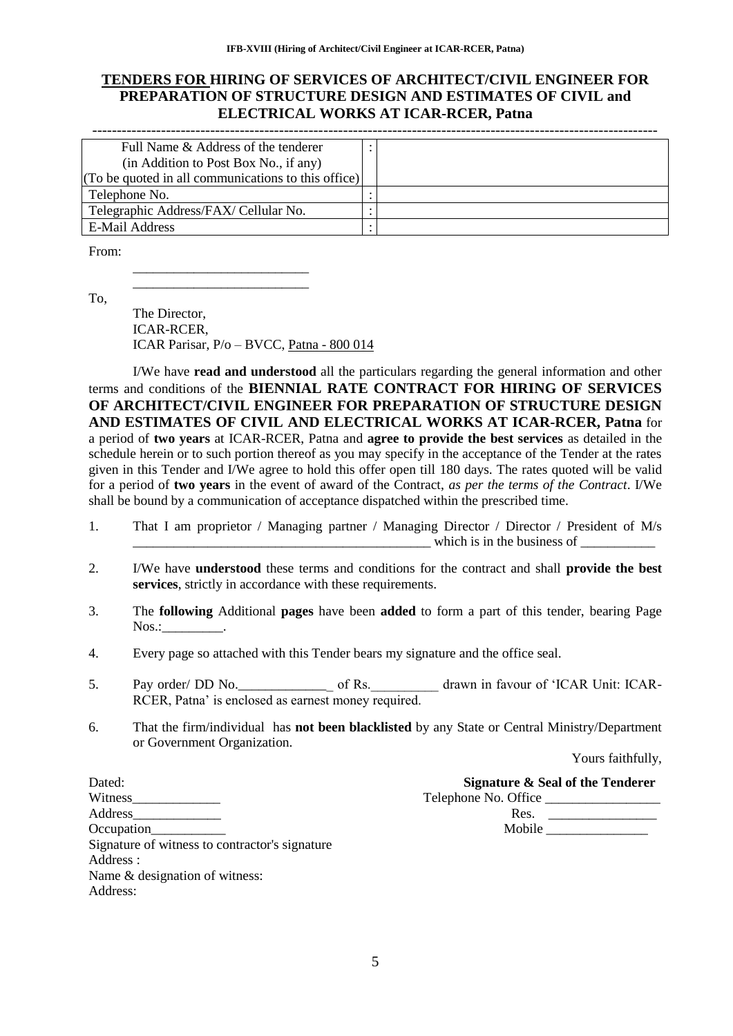## **TENDERS FOR HIRING OF SERVICES OF ARCHITECT/CIVIL ENGINEER FOR PREPARATION OF STRUCTURE DESIGN AND ESTIMATES OF CIVIL and ELECTRICAL WORKS AT ICAR-RCER, Patna**

| Full Name & Address of the tenderer                 |  |
|-----------------------------------------------------|--|
| (in Addition to Post Box No., if any)               |  |
| (To be quoted in all communications to this office) |  |
| Telephone No.                                       |  |
| Telegraphic Address/FAX/ Cellular No.               |  |
| E-Mail Address                                      |  |

From:

To,

The Director, ICAR-RCER, ICAR Parisar, P/o – BVCC, Patna - 800 014

\_\_\_\_\_\_\_\_\_\_\_\_\_\_\_\_\_\_\_\_\_\_\_\_\_\_ \_\_\_\_\_\_\_\_\_\_\_\_\_\_\_\_\_\_\_\_\_\_\_\_\_\_

I/We have **read and understood** all the particulars regarding the general information and other terms and conditions of the **BIENNIAL RATE CONTRACT FOR HIRING OF SERVICES OF ARCHITECT/CIVIL ENGINEER FOR PREPARATION OF STRUCTURE DESIGN AND ESTIMATES OF CIVIL AND ELECTRICAL WORKS AT ICAR-RCER, Patna** for a period of **two years** at ICAR-RCER, Patna and **agree to provide the best services** as detailed in the schedule herein or to such portion thereof as you may specify in the acceptance of the Tender at the rates given in this Tender and I/We agree to hold this offer open till 180 days. The rates quoted will be valid for a period of **two years** in the event of award of the Contract, *as per the terms of the Contract*. I/We shall be bound by a communication of acceptance dispatched within the prescribed time.

- 1. That I am proprietor / Managing partner / Managing Director / Director / President of M/s which is in the business of
- 2. I/We have **understood** these terms and conditions for the contract and shall **provide the best services**, strictly in accordance with these requirements.
- 3. The **following** Additional **pages** have been **added** to form a part of this tender, bearing Page Nos.:
- 4. Every page so attached with this Tender bears my signature and the office seal.
- 5. Pay order/ DD No. \_\_\_\_\_\_\_\_\_\_\_\_\_\_\_\_\_ of Rs. drawn in favour of 'ICAR Unit: ICAR-RCER, Patna" is enclosed as earnest money required.
- 6. That the firm/individual has **not been blacklisted** by any State or Central Ministry/Department or Government Organization.

Yours faithfully,

| Dated:                                         | Signature & Seal of the Tenderer |
|------------------------------------------------|----------------------------------|
| Witness                                        | Telephone No. Office             |
| Address                                        | Res.                             |
| Occupation                                     | Mobile                           |
| Signature of witness to contractor's signature |                                  |
| Address :                                      |                                  |

Name & designation of witness:

Address: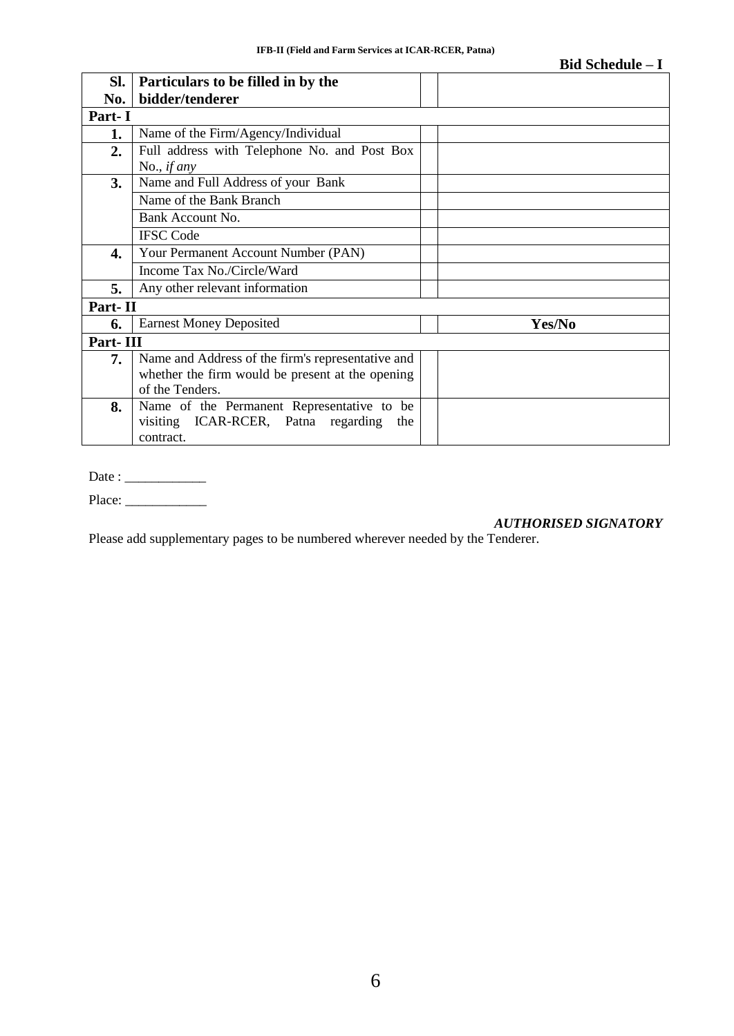|          |                                                   | <b>Bid Schedule – I</b> |
|----------|---------------------------------------------------|-------------------------|
| SI.      | Particulars to be filled in by the                |                         |
| No.      | bidder/tenderer                                   |                         |
| Part-I   |                                                   |                         |
| 1.       | Name of the Firm/Agency/Individual                |                         |
| 2.       | Full address with Telephone No. and Post Box      |                         |
|          | No., <i>if any</i>                                |                         |
| 3.       | Name and Full Address of your Bank                |                         |
|          | Name of the Bank Branch                           |                         |
|          | Bank Account No.                                  |                         |
|          | <b>IFSC Code</b>                                  |                         |
| 4.       | Your Permanent Account Number (PAN)               |                         |
|          | Income Tax No./Circle/Ward                        |                         |
| 5.       | Any other relevant information                    |                         |
| Part-II  |                                                   |                         |
| 6.       | <b>Earnest Money Deposited</b>                    | Yes/No                  |
| Part-III |                                                   |                         |
| 7.       | Name and Address of the firm's representative and |                         |
|          | whether the firm would be present at the opening  |                         |
|          | of the Tenders.                                   |                         |
| 8.       | Name of the Permanent Representative to be        |                         |
|          | visiting ICAR-RCER, Patna regarding<br>the        |                         |
|          | contract.                                         |                         |

Date : \_\_\_\_\_\_\_\_\_\_\_\_

Place: \_\_\_\_\_\_\_\_\_\_\_\_

#### *AUTHORISED SIGNATORY*

Please add supplementary pages to be numbered wherever needed by the Tenderer.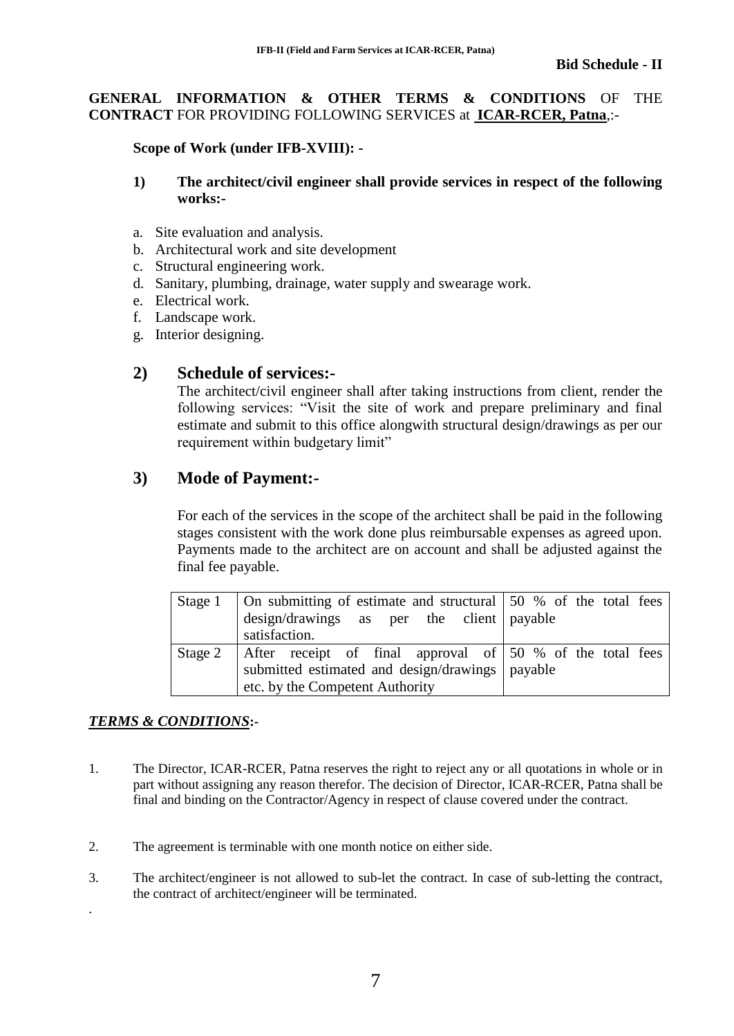### **GENERAL INFORMATION & OTHER TERMS & CONDITIONS** OF THE **CONTRACT** FOR PROVIDING FOLLOWING SERVICES at **ICAR-RCER, Patna**,:-

### **Scope of Work (under IFB-XVIII): -**

### **1) The architect/civil engineer shall provide services in respect of the following works:-**

- a. Site evaluation and analysis.
- b. Architectural work and site development
- c. Structural engineering work.
- d. Sanitary, plumbing, drainage, water supply and swearage work.
- e. Electrical work.
- f. Landscape work.
- g. Interior designing.

# **2) Schedule of services:-**

The architect/civil engineer shall after taking instructions from client, render the following services: "Visit the site of work and prepare preliminary and final estimate and submit to this office alongwith structural design/drawings as per our requirement within budgetary limit"

# **3) Mode of Payment:-**

For each of the services in the scope of the architect shall be paid in the following stages consistent with the work done plus reimbursable expenses as agreed upon. Payments made to the architect are on account and shall be adjusted against the final fee payable.

|         | Stage 1   On submitting of estimate and structural   50 % of the total fees |  |  |
|---------|-----------------------------------------------------------------------------|--|--|
|         | design/drawings as per the client payable                                   |  |  |
|         | satisfaction.                                                               |  |  |
| Stage 2 | After receipt of final approval of 50 % of the total fees                   |  |  |
|         | submitted estimated and design/drawings payable                             |  |  |
|         | etc. by the Competent Authority                                             |  |  |

# *TERMS & CONDITIONS***:-**

.

- 1. The Director, ICAR-RCER, Patna reserves the right to reject any or all quotations in whole or in part without assigning any reason therefor. The decision of Director, ICAR-RCER, Patna shall be final and binding on the Contractor/Agency in respect of clause covered under the contract.
- 2. The agreement is terminable with one month notice on either side.
- 3. The architect/engineer is not allowed to sub-let the contract. In case of sub-letting the contract, the contract of architect/engineer will be terminated.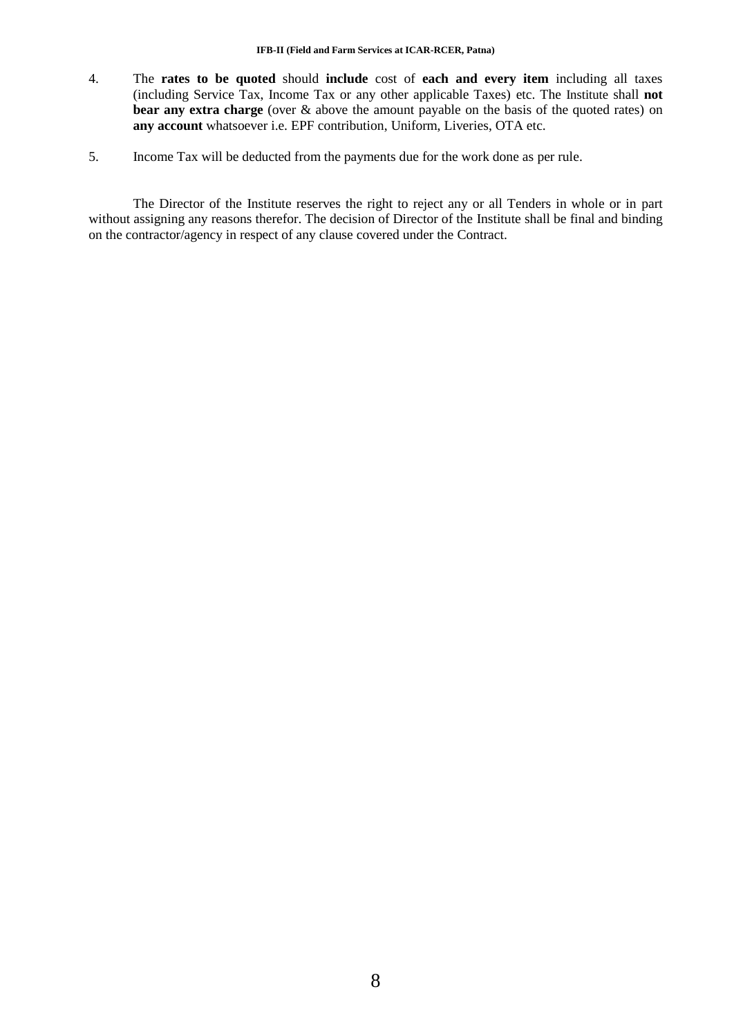- 4. The **rates to be quoted** should **include** cost of **each and every item** including all taxes (including Service Tax, Income Tax or any other applicable Taxes) etc. The Institute shall **not bear any extra charge** (over & above the amount payable on the basis of the quoted rates) on **any account** whatsoever i.e. EPF contribution, Uniform, Liveries, OTA etc.
- 5. Income Tax will be deducted from the payments due for the work done as per rule.

The Director of the Institute reserves the right to reject any or all Tenders in whole or in part without assigning any reasons therefor. The decision of Director of the Institute shall be final and binding on the contractor/agency in respect of any clause covered under the Contract.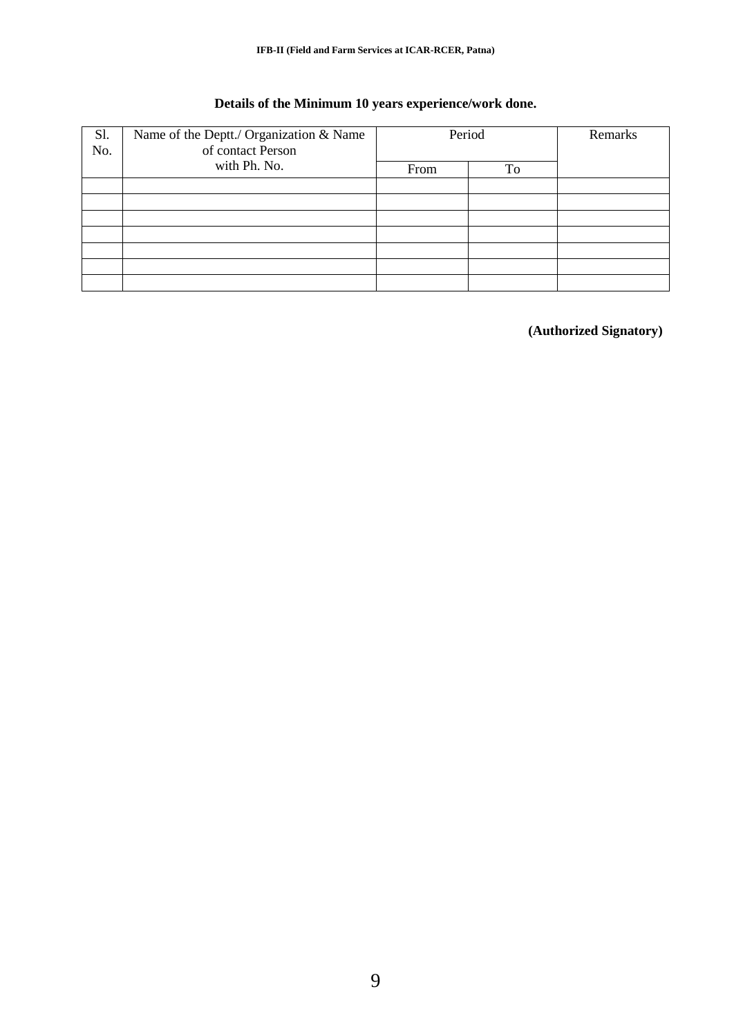# **Details of the Minimum 10 years experience/work done.**

| Name of the Deptt./ Organization & Name<br>Sl.<br>of contact Person<br>No. | Period       |      | Remarks |  |
|----------------------------------------------------------------------------|--------------|------|---------|--|
|                                                                            | with Ph. No. | From | To      |  |
|                                                                            |              |      |         |  |
|                                                                            |              |      |         |  |
|                                                                            |              |      |         |  |
|                                                                            |              |      |         |  |
|                                                                            |              |      |         |  |
|                                                                            |              |      |         |  |
|                                                                            |              |      |         |  |

**(Authorized Signatory)**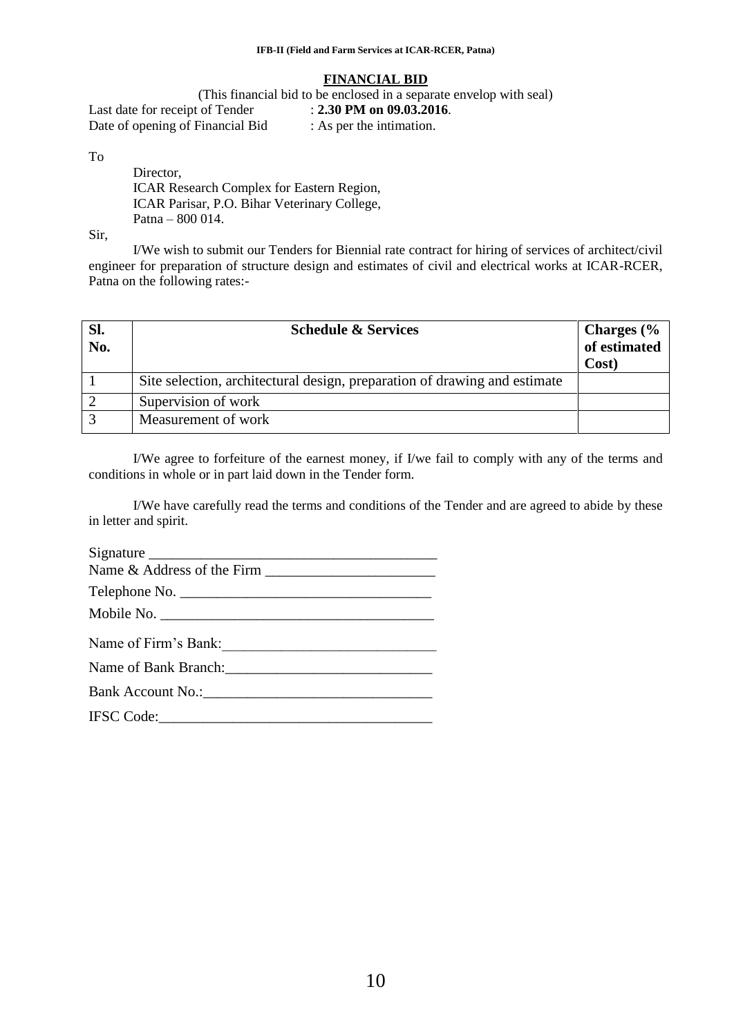#### **FINANCIAL BID**

(This financial bid to be enclosed in a separate envelop with seal) Last date for receipt of Tender : **2.30 PM on 09.03.2016**.<br>Date of opening of Financial Bid : As per the intimation. Date of opening of Financial Bid

To

Director, ICAR Research Complex for Eastern Region, ICAR Parisar, P.O. Bihar Veterinary College, Patna – 800 014.

Sir,

I/We wish to submit our Tenders for Biennial rate contract for hiring of services of architect/civil engineer for preparation of structure design and estimates of civil and electrical works at ICAR-RCER, Patna on the following rates:-

| SI.<br>No. | <b>Schedule &amp; Services</b>                                            | Charges (%<br>of estimated<br>Cost) |
|------------|---------------------------------------------------------------------------|-------------------------------------|
|            | Site selection, architectural design, preparation of drawing and estimate |                                     |
|            | Supervision of work                                                       |                                     |
| $\sim$     | Measurement of work                                                       |                                     |

I/We agree to forfeiture of the earnest money, if I/we fail to comply with any of the terms and conditions in whole or in part laid down in the Tender form.

I/We have carefully read the terms and conditions of the Tender and are agreed to abide by these in letter and spirit.

Signature \_\_\_\_\_\_\_\_\_\_\_\_\_\_\_\_\_\_\_\_\_\_\_\_\_\_\_\_\_\_\_\_\_\_\_\_\_\_\_ Name & Address of the Firm \_\_\_\_\_\_\_\_\_\_\_\_\_\_\_\_\_\_\_\_\_\_\_ Telephone No. \_\_\_\_\_\_\_\_\_\_\_\_\_\_\_\_\_\_\_\_\_\_\_\_\_\_\_\_\_\_\_\_\_\_ Mobile No. Name of Firm's Bank:

Name of Bank Branch:

Bank Account No.: IFSC Code:\_\_\_\_\_\_\_\_\_\_\_\_\_\_\_\_\_\_\_\_\_\_\_\_\_\_\_\_\_\_\_\_\_\_\_\_\_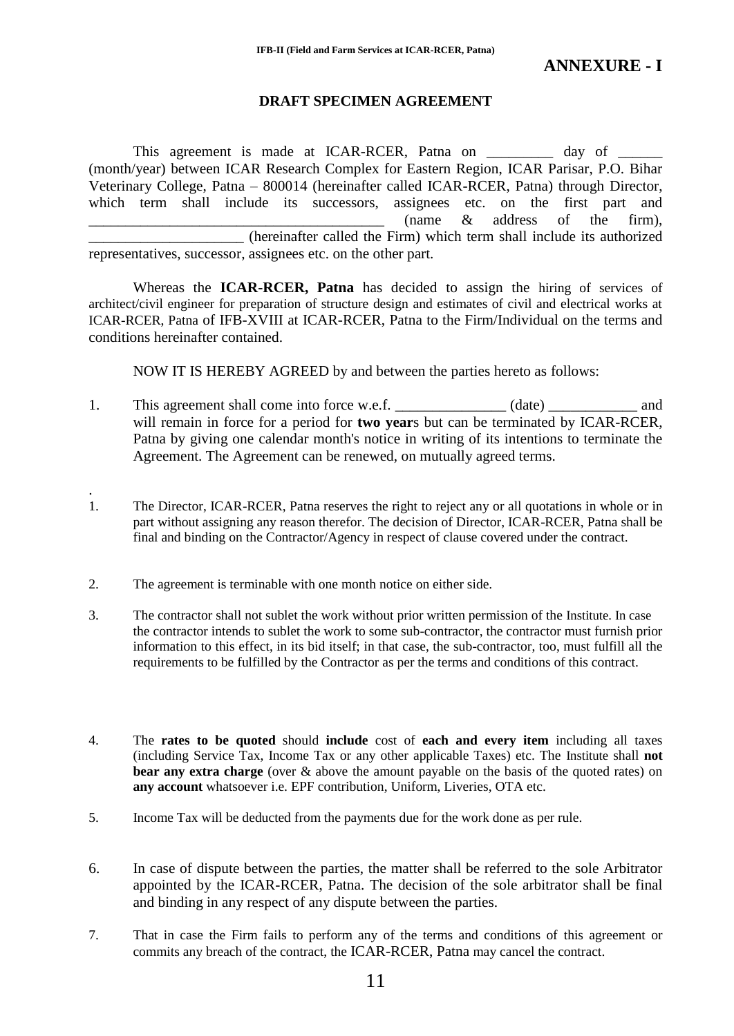#### **DRAFT SPECIMEN AGREEMENT**

This agreement is made at ICAR-RCER, Patna on \_\_\_\_\_\_\_\_\_ day of \_ (month/year) between ICAR Research Complex for Eastern Region, ICAR Parisar, P.O. Bihar Veterinary College, Patna – 800014 (hereinafter called ICAR-RCER, Patna) through Director, which term shall include its successors, assignees etc. on the first part and  $\frac{1}{2}$  (name & address of the firm), \_\_\_\_\_\_\_\_\_\_\_\_\_\_\_\_\_\_\_\_\_ (hereinafter called the Firm) which term shall include its authorized representatives, successor, assignees etc. on the other part.

Whereas the **ICAR-RCER, Patna** has decided to assign the hiring of services of architect/civil engineer for preparation of structure design and estimates of civil and electrical works at ICAR-RCER, Patna of IFB-XVIII at ICAR-RCER, Patna to the Firm/Individual on the terms and conditions hereinafter contained.

NOW IT IS HEREBY AGREED by and between the parties hereto as follows:

- 1. This agreement shall come into force w.e.f. \_\_\_\_\_\_\_\_\_\_\_\_\_ (date) \_\_\_\_\_\_\_\_\_\_\_ and will remain in force for a period for **two year**s but can be terminated by ICAR-RCER, Patna by giving one calendar month's notice in writing of its intentions to terminate the Agreement. The Agreement can be renewed, on mutually agreed terms.
- 1. The Director, ICAR-RCER, Patna reserves the right to reject any or all quotations in whole or in part without assigning any reason therefor. The decision of Director, ICAR-RCER, Patna shall be final and binding on the Contractor/Agency in respect of clause covered under the contract.
- 2. The agreement is terminable with one month notice on either side.

.

- 3. The contractor shall not sublet the work without prior written permission of the Institute. In case the contractor intends to sublet the work to some sub-contractor, the contractor must furnish prior information to this effect, in its bid itself; in that case, the sub-contractor, too, must fulfill all the requirements to be fulfilled by the Contractor as per the terms and conditions of this contract.
- 4. The **rates to be quoted** should **include** cost of **each and every item** including all taxes (including Service Tax, Income Tax or any other applicable Taxes) etc. The Institute shall **not bear any extra charge** (over & above the amount payable on the basis of the quoted rates) on **any account** whatsoever i.e. EPF contribution, Uniform, Liveries, OTA etc.
- 5. Income Tax will be deducted from the payments due for the work done as per rule.
- 6. In case of dispute between the parties, the matter shall be referred to the sole Arbitrator appointed by the ICAR-RCER, Patna. The decision of the sole arbitrator shall be final and binding in any respect of any dispute between the parties.
- 7. That in case the Firm fails to perform any of the terms and conditions of this agreement or commits any breach of the contract, the ICAR-RCER, Patna may cancel the contract.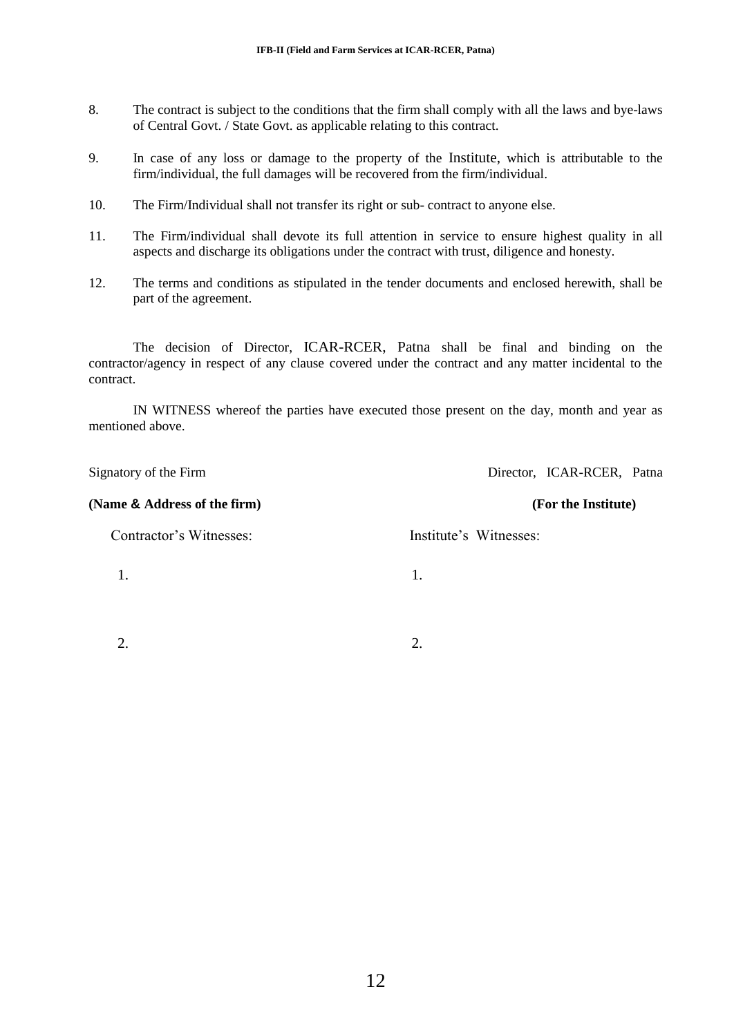- 8. The contract is subject to the conditions that the firm shall comply with all the laws and bye-laws of Central Govt. / State Govt. as applicable relating to this contract.
- 9. In case of any loss or damage to the property of the Institute, which is attributable to the firm/individual, the full damages will be recovered from the firm/individual.
- 10. The Firm/Individual shall not transfer its right or sub- contract to anyone else.
- 11. The Firm/individual shall devote its full attention in service to ensure highest quality in all aspects and discharge its obligations under the contract with trust, diligence and honesty.
- 12. The terms and conditions as stipulated in the tender documents and enclosed herewith, shall be part of the agreement.

The decision of Director, ICAR-RCER, Patna shall be final and binding on the contractor/agency in respect of any clause covered under the contract and any matter incidental to the contract.

IN WITNESS whereof the parties have executed those present on the day, month and year as mentioned above.

| Signatory of the Firm        | Director, ICAR-RCER, Patna |
|------------------------------|----------------------------|
| (Name & Address of the firm) | (For the Institute)        |
| Contractor's Witnesses:      | Institute's Witnesses:     |
|                              | 1.                         |
|                              |                            |
|                              | 2.                         |

12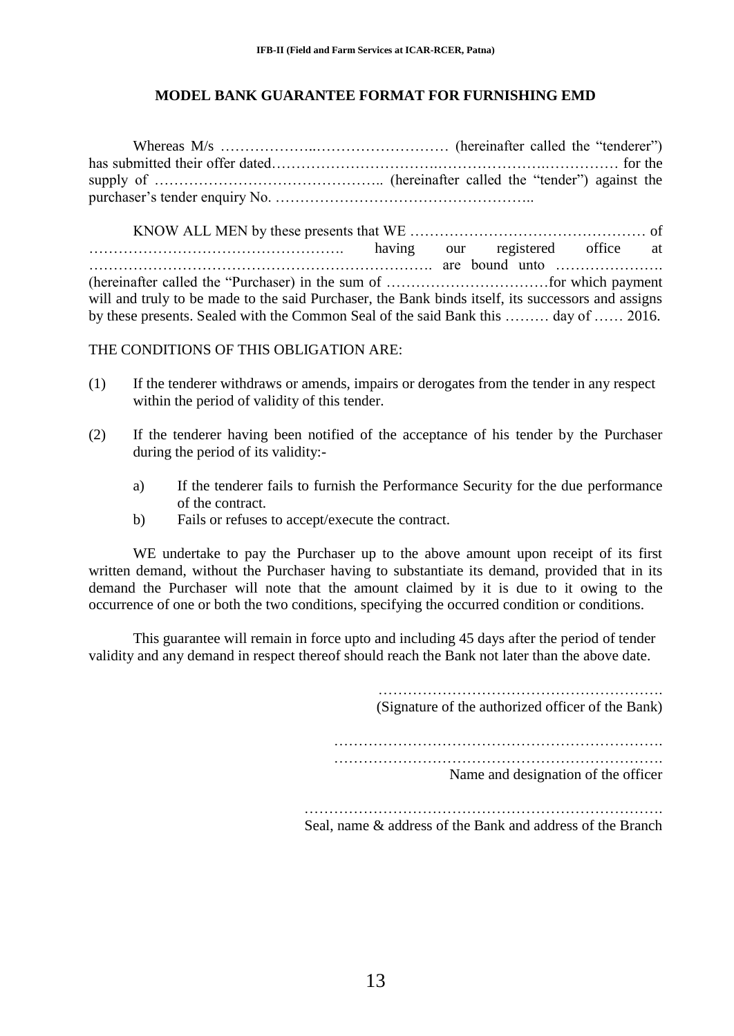#### **MODEL BANK GUARANTEE FORMAT FOR FURNISHING EMD**

Whereas M/s ………………..……………………… (hereinafter called the "tenderer") has submitted their offer dated…………………………….………………….…………… for the supply of ……………………………………….. (hereinafter called the "tender") against the purchaser"s tender enquiry No. ……………………………………………..

KNOW ALL MEN by these presents that WE ………………………………………… of ……………………………………………. having our registered office at ……………………………………………………………. are bound unto …………………. (hereinafter called the "Purchaser) in the sum of ……………………………for which payment will and truly to be made to the said Purchaser, the Bank binds itself, its successors and assigns by these presents. Sealed with the Common Seal of the said Bank this ……… day of …… 2016.

THE CONDITIONS OF THIS OBLIGATION ARE:

- (1) If the tenderer withdraws or amends, impairs or derogates from the tender in any respect within the period of validity of this tender.
- (2) If the tenderer having been notified of the acceptance of his tender by the Purchaser during the period of its validity:
	- a) If the tenderer fails to furnish the Performance Security for the due performance of the contract.
	- b) Fails or refuses to accept/execute the contract.

WE undertake to pay the Purchaser up to the above amount upon receipt of its first written demand, without the Purchaser having to substantiate its demand, provided that in its demand the Purchaser will note that the amount claimed by it is due to it owing to the occurrence of one or both the two conditions, specifying the occurred condition or conditions.

This guarantee will remain in force upto and including 45 days after the period of tender validity and any demand in respect thereof should reach the Bank not later than the above date.

(Signature of the authorized officer of the Bank)

…………………………………………………………. ………………………………………………………….

Name and designation of the officer

………………………………………………………………. Seal, name & address of the Bank and address of the Branch